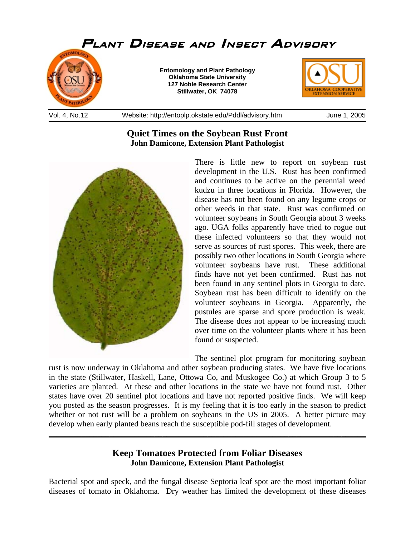

## **Quiet Times on the Soybean Rust Front John Damicone, Extension Plant Pathologist**



There is little new to report on soybean rust development in the U.S. Rust has been confirmed and continues to be active on the perennial weed kudzu in three locations in Florida. However, the disease has not been found on any legume crops or other weeds in that state. Rust was confirmed on volunteer soybeans in South Georgia about 3 weeks ago. UGA folks apparently have tried to rogue out these infected volunteers so that they would not serve as sources of rust spores. This week, there are possibly two other locations in South Georgia where volunteer soybeans have rust. These additional finds have not yet been confirmed. Rust has not been found in any sentinel plots in Georgia to date. Soybean rust has been difficult to identify on the volunteer soybeans in Georgia. Apparently, the pustules are sparse and spore production is weak. The disease does not appear to be increasing much over time on the volunteer plants where it has been found or suspected.

The sentinel plot program for monitoring soybean rust is now underway in Oklahoma and other soybean producing states. We have five locations in the state (Stillwater, Haskell, Lane, Ottowa Co, and Muskogee Co.) at which Group 3 to 5 varieties are planted. At these and other locations in the state we have not found rust. Other states have over 20 sentinel plot locations and have not reported positive finds. We will keep you posted as the season progresses. It is my feeling that it is too early in the season to predict whether or not rust will be a problem on soybeans in the US in 2005. A better picture may develop when early planted beans reach the susceptible pod-fill stages of development.

## **Keep Tomatoes Protected from Foliar Diseases John Damicone, Extension Plant Pathologist**

\_\_\_\_\_\_\_\_\_\_\_\_\_\_\_\_\_\_\_\_\_\_\_\_\_\_\_\_\_\_\_\_\_\_\_\_\_\_\_\_\_\_\_\_\_\_\_\_\_\_\_\_\_\_\_\_\_\_\_\_\_\_\_\_\_\_\_\_\_\_\_\_\_\_\_\_\_\_

Bacterial spot and speck, and the fungal disease Septoria leaf spot are the most important foliar diseases of tomato in Oklahoma. Dry weather has limited the development of these diseases